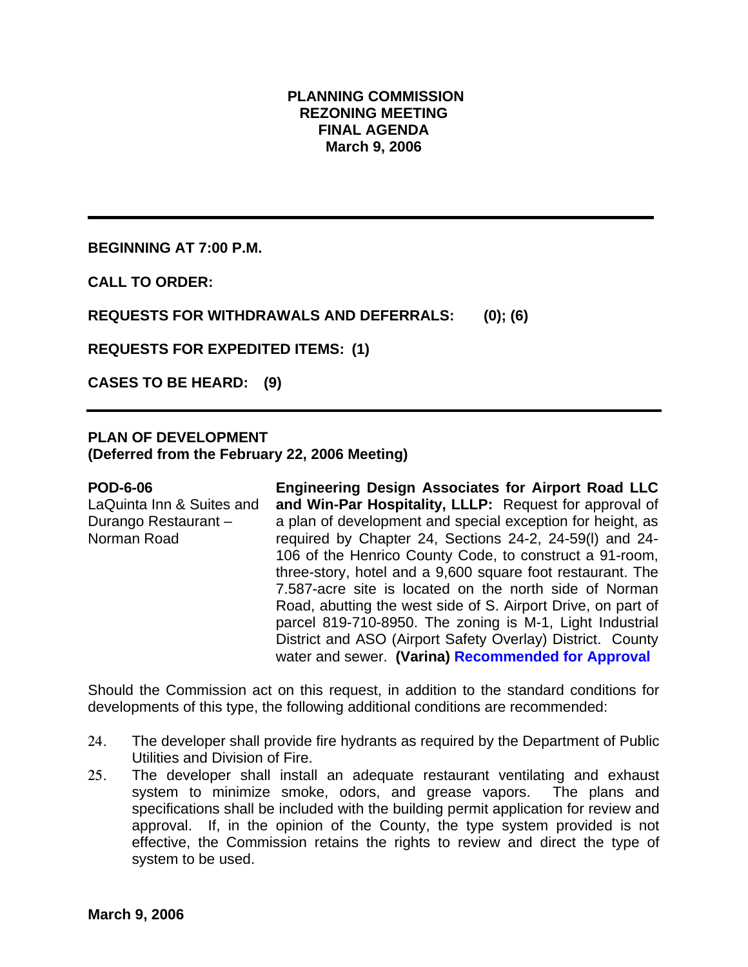### **PLANNING COMMISSION REZONING MEETING FINAL AGENDA March 9, 2006**

**BEGINNING AT 7:00 P.M.** 

**CALL TO ORDER:** 

**REQUESTS FOR WITHDRAWALS AND DEFERRALS: (0); (6)** 

**REQUESTS FOR EXPEDITED ITEMS: (1)** 

**CASES TO BE HEARD: (9)** 

## **PLAN OF DEVELOPMENT**

**(Deferred from the February 22, 2006 Meeting)** 

#### **POD-6-06**

LaQuinta Inn & Suites and Durango Restaurant – Norman Road

**Engineering Design Associates for Airport Road LLC and Win-Par Hospitality, LLLP:** Request for approval of a plan of development and special exception for height, as required by Chapter 24, Sections 24-2, 24-59(l) and 24- 106 of the Henrico County Code, to construct a 91-room, three-story, hotel and a 9,600 square foot restaurant. The 7.587-acre site is located on the north side of Norman Road, abutting the west side of S. Airport Drive, on part of parcel 819-710-8950. The zoning is M-1, Light Industrial District and ASO (Airport Safety Overlay) District. County water and sewer. **(Varina) Recommended for Approval**

Should the Commission act on this request, in addition to the standard conditions for developments of this type, the following additional conditions are recommended:

- 24. The developer shall provide fire hydrants as required by the Department of Public Utilities and Division of Fire.
- 25. The developer shall install an adequate restaurant ventilating and exhaust system to minimize smoke, odors, and grease vapors. The plans and specifications shall be included with the building permit application for review and approval. If, in the opinion of the County, the type system provided is not effective, the Commission retains the rights to review and direct the type of system to be used.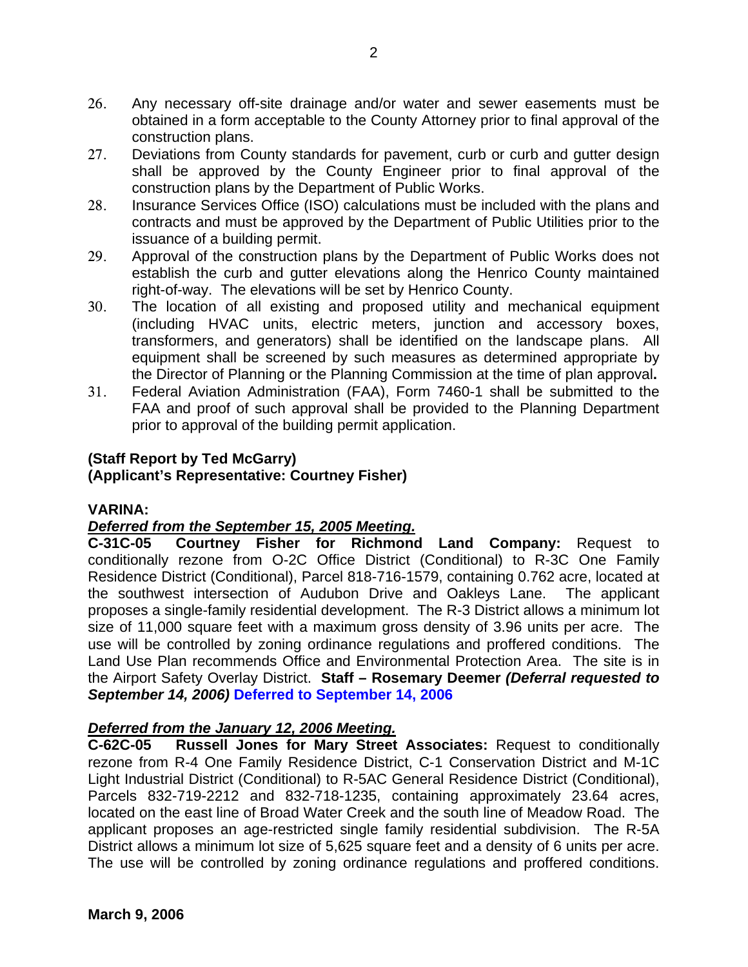- 26. Any necessary off-site drainage and/or water and sewer easements must be obtained in a form acceptable to the County Attorney prior to final approval of the construction plans.
- 27. Deviations from County standards for pavement, curb or curb and gutter design shall be approved by the County Engineer prior to final approval of the construction plans by the Department of Public Works.
- 28. Insurance Services Office (ISO) calculations must be included with the plans and contracts and must be approved by the Department of Public Utilities prior to the issuance of a building permit.
- 29. Approval of the construction plans by the Department of Public Works does not establish the curb and gutter elevations along the Henrico County maintained right-of-way. The elevations will be set by Henrico County.
- 30. The location of all existing and proposed utility and mechanical equipment (including HVAC units, electric meters, junction and accessory boxes, transformers, and generators) shall be identified on the landscape plans. All equipment shall be screened by such measures as determined appropriate by the Director of Planning or the Planning Commission at the time of plan approval**.**
- 31. Federal Aviation Administration (FAA), Form 7460-1 shall be submitted to the FAA and proof of such approval shall be provided to the Planning Department prior to approval of the building permit application.

# **(Staff Report by Ted McGarry)**

**(Applicant's Representative: Courtney Fisher)** 

## **VARINA:**

# *Deferred from the September 15, 2005 Meeting.*

**C-31C-05 Courtney Fisher for Richmond Land Company:** Request to conditionally rezone from O-2C Office District (Conditional) to R-3C One Family Residence District (Conditional), Parcel 818-716-1579, containing 0.762 acre, located at the southwest intersection of Audubon Drive and Oakleys Lane. The applicant proposes a single-family residential development. The R-3 District allows a minimum lot size of 11,000 square feet with a maximum gross density of 3.96 units per acre. The use will be controlled by zoning ordinance regulations and proffered conditions. The Land Use Plan recommends Office and Environmental Protection Area. The site is in the Airport Safety Overlay District. **Staff – Rosemary Deemer** *(Deferral requested to September 14, 2006)* **Deferred to September 14, 2006**

# *Deferred from the January 12, 2006 Meeting.*

**C-62C-05 Russell Jones for Mary Street Associates:** Request to conditionally rezone from R-4 One Family Residence District, C-1 Conservation District and M-1C Light Industrial District (Conditional) to R-5AC General Residence District (Conditional), Parcels 832-719-2212 and 832-718-1235, containing approximately 23.64 acres, located on the east line of Broad Water Creek and the south line of Meadow Road. The applicant proposes an age-restricted single family residential subdivision. The R-5A District allows a minimum lot size of 5,625 square feet and a density of 6 units per acre. The use will be controlled by zoning ordinance regulations and proffered conditions.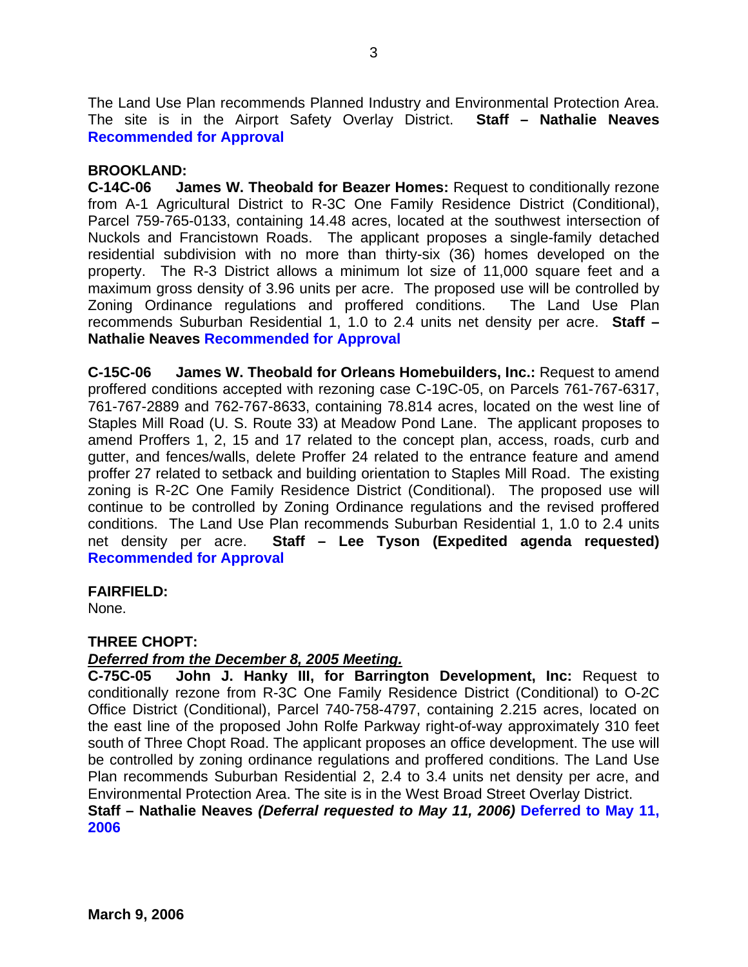The Land Use Plan recommends Planned Industry and Environmental Protection Area. The site is in the Airport Safety Overlay District. **Staff – Nathalie Neaves Recommended for Approval**

### **BROOKLAND:**

**C-14C-06 James W. Theobald for Beazer Homes:** Request to conditionally rezone from A-1 Agricultural District to R-3C One Family Residence District (Conditional), Parcel 759-765-0133, containing 14.48 acres, located at the southwest intersection of Nuckols and Francistown Roads. The applicant proposes a single-family detached residential subdivision with no more than thirty-six (36) homes developed on the property. The R-3 District allows a minimum lot size of 11,000 square feet and a maximum gross density of 3.96 units per acre. The proposed use will be controlled by Zoning Ordinance regulations and proffered conditions. The Land Use Plan recommends Suburban Residential 1, 1.0 to 2.4 units net density per acre. **Staff – Nathalie Neaves Recommended for Approval** 

**C-15C-06 James W. Theobald for Orleans Homebuilders, Inc.:** Request to amend proffered conditions accepted with rezoning case C-19C-05, on Parcels 761-767-6317, 761-767-2889 and 762-767-8633, containing 78.814 acres, located on the west line of Staples Mill Road (U. S. Route 33) at Meadow Pond Lane. The applicant proposes to amend Proffers 1, 2, 15 and 17 related to the concept plan, access, roads, curb and gutter, and fences/walls, delete Proffer 24 related to the entrance feature and amend proffer 27 related to setback and building orientation to Staples Mill Road. The existing zoning is R-2C One Family Residence District (Conditional). The proposed use will continue to be controlled by Zoning Ordinance regulations and the revised proffered conditions. The Land Use Plan recommends Suburban Residential 1, 1.0 to 2.4 units net density per acre. **Staff – Lee Tyson (Expedited agenda requested) Recommended for Approval** 

## **FAIRFIELD:**

None.

## **THREE CHOPT:**

#### *Deferred from the December 8, 2005 Meeting.*

**C-75C-05 John J. Hanky III, for Barrington Development, Inc:** Request to conditionally rezone from R-3C One Family Residence District (Conditional) to O-2C Office District (Conditional), Parcel 740-758-4797, containing 2.215 acres, located on the east line of the proposed John Rolfe Parkway right-of-way approximately 310 feet south of Three Chopt Road. The applicant proposes an office development. The use will be controlled by zoning ordinance regulations and proffered conditions. The Land Use Plan recommends Suburban Residential 2, 2.4 to 3.4 units net density per acre, and Environmental Protection Area. The site is in the West Broad Street Overlay District.

#### **Staff – Nathalie Neaves** *(Deferral requested to May 11, 2006)* **Deferred to May 11, 2006**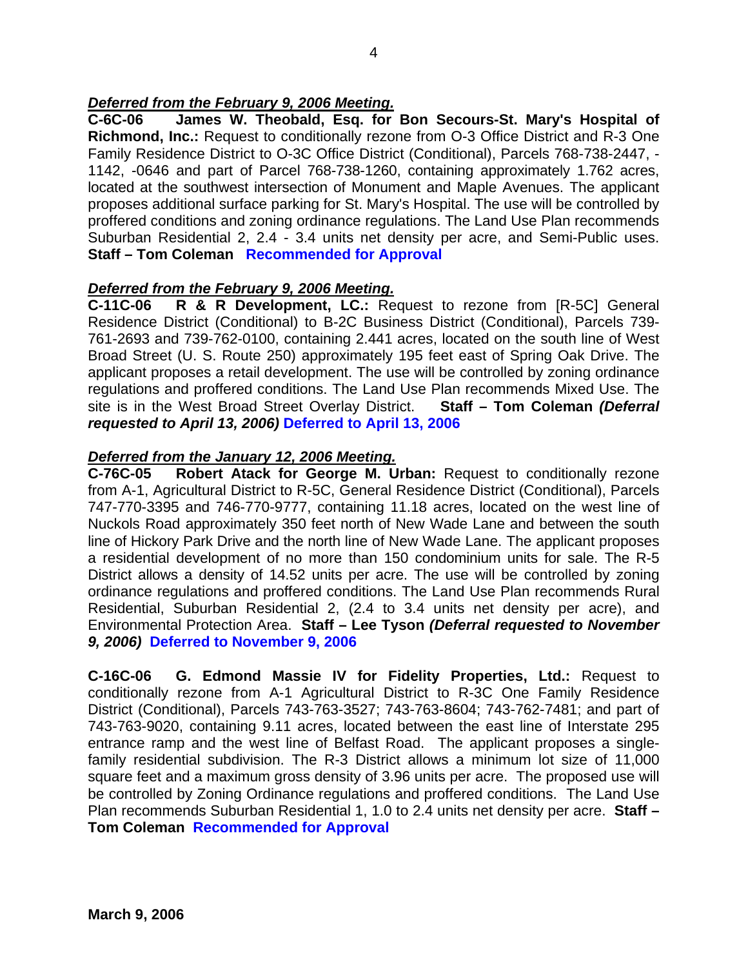## *Deferred from the February 9, 2006 Meeting.*

**C-6C-06 James W. Theobald, Esq. for Bon Secours-St. Mary's Hospital of Richmond, Inc.:** Request to conditionally rezone from O-3 Office District and R-3 One Family Residence District to O-3C Office District (Conditional), Parcels 768-738-2447, - 1142, -0646 and part of Parcel 768-738-1260, containing approximately 1.762 acres, located at the southwest intersection of Monument and Maple Avenues. The applicant proposes additional surface parking for St. Mary's Hospital. The use will be controlled by proffered conditions and zoning ordinance regulations. The Land Use Plan recommends Suburban Residential 2, 2.4 - 3.4 units net density per acre, and Semi-Public uses. **Staff – Tom Coleman Recommended for Approval**

## *Deferred from the February 9, 2006 Meeting.*

**C-11C-06 R & R Development, LC.:** Request to rezone from [R-5C] General Residence District (Conditional) to B-2C Business District (Conditional), Parcels 739- 761-2693 and 739-762-0100, containing 2.441 acres, located on the south line of West Broad Street (U. S. Route 250) approximately 195 feet east of Spring Oak Drive. The applicant proposes a retail development. The use will be controlled by zoning ordinance regulations and proffered conditions. The Land Use Plan recommends Mixed Use. The site is in the West Broad Street Overlay District. **Staff – Tom Coleman** *(Deferral requested to April 13, 2006)* **Deferred to April 13, 2006**

## *Deferred from the January 12, 2006 Meeting.*

**C-76C-05 Robert Atack for George M. Urban:** Request to conditionally rezone from A-1, Agricultural District to R-5C, General Residence District (Conditional), Parcels 747-770-3395 and 746-770-9777, containing 11.18 acres, located on the west line of Nuckols Road approximately 350 feet north of New Wade Lane and between the south line of Hickory Park Drive and the north line of New Wade Lane. The applicant proposes a residential development of no more than 150 condominium units for sale. The R-5 District allows a density of 14.52 units per acre. The use will be controlled by zoning ordinance regulations and proffered conditions. The Land Use Plan recommends Rural Residential, Suburban Residential 2, (2.4 to 3.4 units net density per acre), and Environmental Protection Area. **Staff – Lee Tyson** *(Deferral requested to November 9, 2006)* **Deferred to November 9, 2006** 

**C-16C-06 G. Edmond Massie IV for Fidelity Properties, Ltd.:** Request to conditionally rezone from A-1 Agricultural District to R-3C One Family Residence District (Conditional), Parcels 743-763-3527; 743-763-8604; 743-762-7481; and part of 743-763-9020, containing 9.11 acres, located between the east line of Interstate 295 entrance ramp and the west line of Belfast Road. The applicant proposes a singlefamily residential subdivision. The R-3 District allows a minimum lot size of 11,000 square feet and a maximum gross density of 3.96 units per acre. The proposed use will be controlled by Zoning Ordinance regulations and proffered conditions. The Land Use Plan recommends Suburban Residential 1, 1.0 to 2.4 units net density per acre. **Staff – Tom Coleman Recommended for Approval**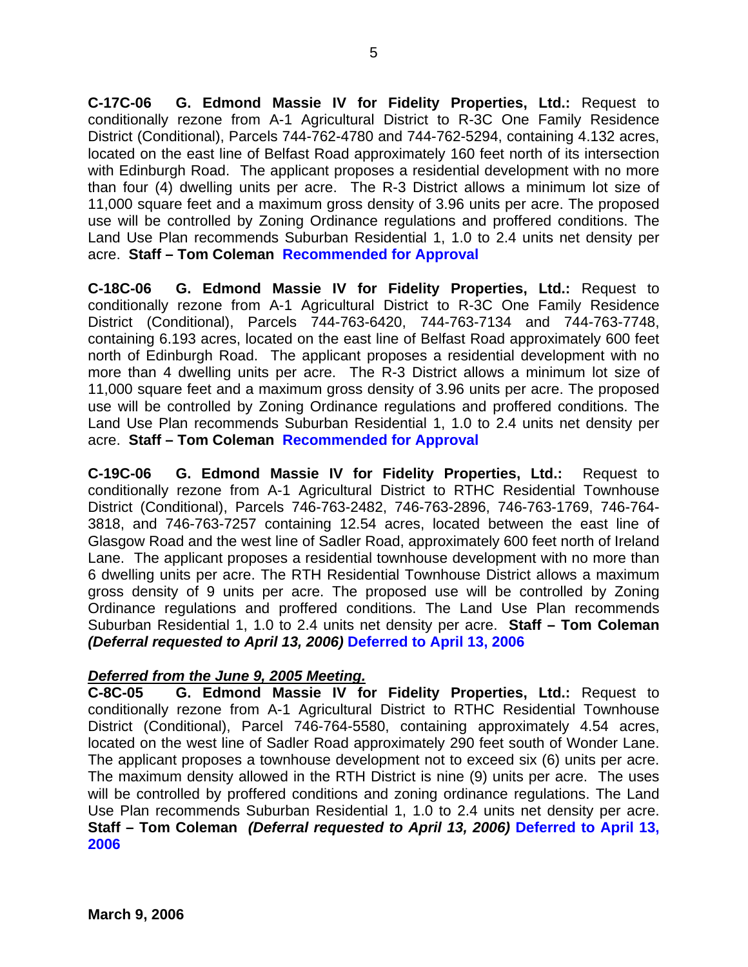**C-17C-06 G. Edmond Massie IV for Fidelity Properties, Ltd.:** Request to conditionally rezone from A-1 Agricultural District to R-3C One Family Residence District (Conditional), Parcels 744-762-4780 and 744-762-5294, containing 4.132 acres, located on the east line of Belfast Road approximately 160 feet north of its intersection with Edinburgh Road. The applicant proposes a residential development with no more than four (4) dwelling units per acre. The R-3 District allows a minimum lot size of 11,000 square feet and a maximum gross density of 3.96 units per acre. The proposed use will be controlled by Zoning Ordinance regulations and proffered conditions. The Land Use Plan recommends Suburban Residential 1, 1.0 to 2.4 units net density per acre. **Staff – Tom Coleman Recommended for Approval**

**C-18C-06 G. Edmond Massie IV for Fidelity Properties, Ltd.:** Request to conditionally rezone from A-1 Agricultural District to R-3C One Family Residence District (Conditional), Parcels 744-763-6420, 744-763-7134 and 744-763-7748, containing 6.193 acres, located on the east line of Belfast Road approximately 600 feet north of Edinburgh Road. The applicant proposes a residential development with no more than 4 dwelling units per acre. The R-3 District allows a minimum lot size of 11,000 square feet and a maximum gross density of 3.96 units per acre. The proposed use will be controlled by Zoning Ordinance regulations and proffered conditions. The Land Use Plan recommends Suburban Residential 1, 1.0 to 2.4 units net density per acre. **Staff – Tom Coleman Recommended for Approval**

**C-19C-06 G. Edmond Massie IV for Fidelity Properties, Ltd.:** Request to conditionally rezone from A-1 Agricultural District to RTHC Residential Townhouse District (Conditional), Parcels 746-763-2482, 746-763-2896, 746-763-1769, 746-764- 3818, and 746-763-7257 containing 12.54 acres, located between the east line of Glasgow Road and the west line of Sadler Road, approximately 600 feet north of Ireland Lane. The applicant proposes a residential townhouse development with no more than 6 dwelling units per acre. The RTH Residential Townhouse District allows a maximum gross density of 9 units per acre. The proposed use will be controlled by Zoning Ordinance regulations and proffered conditions. The Land Use Plan recommends Suburban Residential 1, 1.0 to 2.4 units net density per acre. **Staff – Tom Coleman**  *(Deferral requested to April 13, 2006)* **Deferred to April 13, 2006** 

## *Deferred from the June 9, 2005 Meeting.*

**C-8C-05 G. Edmond Massie IV for Fidelity Properties, Ltd.:** Request to conditionally rezone from A-1 Agricultural District to RTHC Residential Townhouse District (Conditional), Parcel 746-764-5580, containing approximately 4.54 acres, located on the west line of Sadler Road approximately 290 feet south of Wonder Lane. The applicant proposes a townhouse development not to exceed six (6) units per acre. The maximum density allowed in the RTH District is nine (9) units per acre. The uses will be controlled by proffered conditions and zoning ordinance regulations. The Land Use Plan recommends Suburban Residential 1, 1.0 to 2.4 units net density per acre. **Staff – Tom Coleman** *(Deferral requested to April 13, 2006)* **Deferred to April 13, 2006**